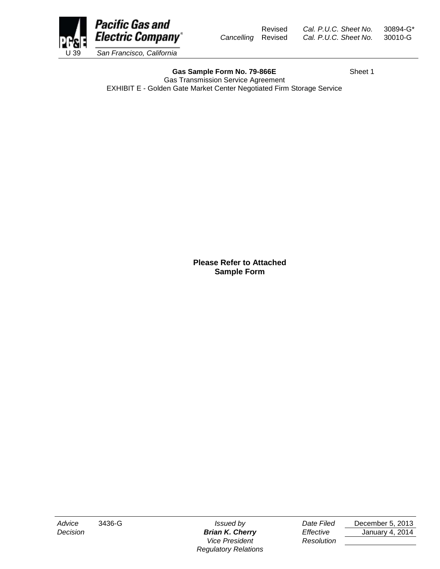Revised *Cal. P.U.C. Sheet No.* 30894-G\* *Cancelling* Revised *Cal. P.U.C. Sheet No.* 30010-G



Gas Sample Form No. 79-866E<br>
Sheet 1 Gas Transmission Service Agreement EXHIBIT E - Golden Gate Market Center Negotiated Firm Storage Service

*Vice President Resolution Regulatory Relations*

*Advice* 3436-G *Issued by Date Filed* December 5, 2013 *Decision Brian K. Cherry Effective* January 4, 2014

**Please Refer to Attached Sample Form**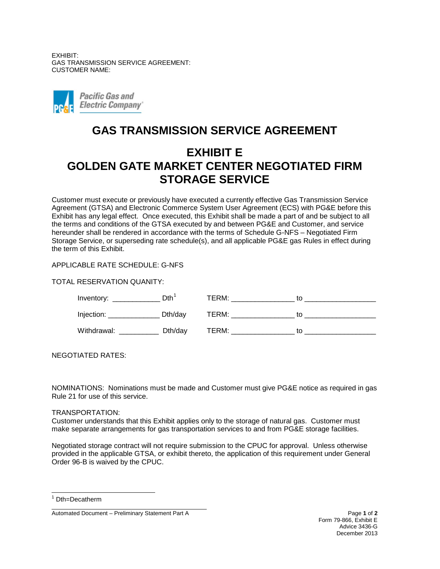EXHIBIT: GAS TRANSMISSION SERVICE AGREEMENT: CUSTOMER NAME:



## **GAS TRANSMISSION SERVICE AGREEMENT**

# **EXHIBIT E GOLDEN GATE MARKET CENTER NEGOTIATED FIRM STORAGE SERVICE**

Customer must execute or previously have executed a currently effective Gas Transmission Service Agreement (GTSA) and Electronic Commerce System User Agreement (ECS) with PG&E before this Exhibit has any legal effect. Once executed, this Exhibit shall be made a part of and be subject to all the terms and conditions of the GTSA executed by and between PG&E and Customer, and service hereunder shall be rendered in accordance with the terms of Schedule G-NFS – Negotiated Firm Storage Service, or superseding rate schedule(s), and all applicable PG&E gas Rules in effect during the term of this Exhibit.

### APPLICABLE RATE SCHEDULE: G-NFS

TOTAL RESERVATION QUANITY:

| Inventory:  | D <sub>th</sub> | TERM: |    |
|-------------|-----------------|-------|----|
| Injection:  | Dth/day         | TERM: |    |
| Withdrawal: | Dth/day         | TERM: | tη |

NEGOTIATED RATES:

NOMINATIONS: Nominations must be made and Customer must give PG&E notice as required in gas Rule 21 for use of this service.

#### TRANSPORTATION:

Customer understands that this Exhibit applies only to the storage of natural gas. Customer must make separate arrangements for gas transportation services to and from PG&E storage facilities.

Negotiated storage contract will not require submission to the CPUC for approval. Unless otherwise provided in the applicable GTSA, or exhibit thereto, the application of this requirement under General Order 96-B is waived by the CPUC.

 $1$  Dth=Decatherm  $\overline{\phantom{a}}$ 

Automated Document – Preliminary Statement Part A Page **1** of **2**